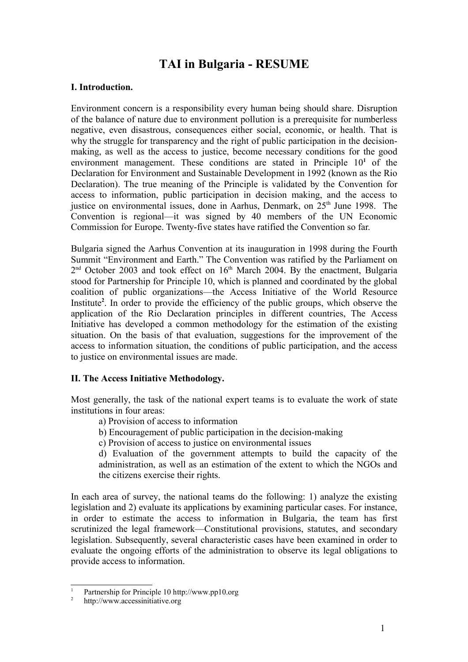# **TAI in Bulgaria - RESUME**

# **І. Introduction.**

Environment concern is a responsibility every human being should share. Disruption of the balance of nature due to environment pollution is a prerequisite for numberless negative, even disastrous, consequences either social, economic, or health. That is why the struggle for transparency and the right of public participation in the decisionmaking, as well as the access to justice, become necessary conditions for the good environment management. These conditions are stated in Principle 10<sup>1</sup> of the Declaration for Environment and Sustainable Development in 1992 (known as the Rio Declaration). The true meaning of the Principle is validated by the Convention for access to information, public participation in decision making, and the access to justice on environmental issues, done in Aarhus, Denmark, on 25<sup>th</sup> June 1998. The Convention is regional—it was signed by 40 members of the UN Economic Commission for Europe. Twenty-five states have ratified the Convention so far.

Bulgaria signed the Aarhus Convention at its inauguration in 1998 during the Fourth Summit "Environment and Earth." The Convention was ratified by the Parliament on  $2<sup>nd</sup>$  October 2003 and took effect on  $16<sup>th</sup>$  March 2004. By the enactment, Bulgaria stood for Partnership for Principle 10, which is planned and coordinated by the global coalition of public organizations—the Access Initiative of the World Resource Institute<sup>2</sup>. In order to provide the efficiency of the public groups, which observe the application of the Rio Declaration principles in different countries, The Access Initiative has developed a common methodology for the estimation of the existing situation. On the basis of that evaluation, suggestions for the improvement of the access to information situation, the conditions of public participation, and the access to justice on environmental issues are made.

### **ІІ. The Access Initiative Methodology.**

Most generally, the task of the national expert teams is to evaluate the work of state institutions in four areas:

- a) Provision of access to information
- b) Encouragement of public participation in the decision-making
- c) Provision of access to justice on environmental issues

d) Evaluation of the government attempts to build the capacity of the administration, as well as an estimation of the extent to which the NGOs and the citizens exercise their rights.

In each area of survey, the national teams do the following: 1) analyze the existing legislation and 2) evaluate its applications by examining particular cases. For instance, in order to estimate the access to information in Bulgaria, the team has first scrutinized the legal framework—Constitutional provisions, statutes, and secondary legislation. Subsequently, several characteristic cases have been examined in order to evaluate the ongoing efforts of the administration to observe its legal obligations to provide access to information.

<sup>1</sup> Partnership for Principle 10 http://www.pp10.org

<sup>2</sup> http://www.accessinitiative.org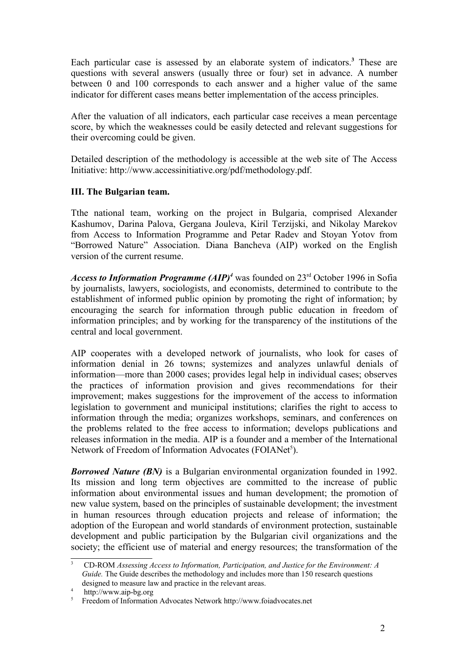Each particular case is assessed by an elaborate system of indicators.**<sup>3</sup>** These are questions with several answers (usually three or four) set in advance. A number between 0 and 100 corresponds to each answer and a higher value of the same indicator for different cases means better implementation of the access principles.

After the valuation of all indicators, each particular case receives a mean percentage score, by which the weaknesses could be easily detected and relevant suggestions for their overcoming could be given.

Detailed description of the methodology is accessible at the web site of The Access Initiative: http://www.accessinitiative.org/pdf/methodology.pdf.

### **III. The Bulgarian team.**

Tthe national team, working on the project in Bulgaria, comprised Alexander Kashumov, Darina Palova, Gergana Jouleva, Kiril Terzijski, and Nikolay Marekov from Access to Information Programme and Petar Radev and Stoyan Yotov from "Borrowed Nature" Association. Diana Bancheva (AIP) worked on the English version of the current resume.

Access to Information Programme (AIP)<sup>4</sup> was founded on 23<sup>rd</sup> October 1996 in Sofia by journalists, lawyers, sociologists, and economists, determined to contribute to the establishment of informed public opinion by promoting the right of information; by encouraging the search for information through public education in freedom of information principles; and by working for the transparency of the institutions of the central and local government.

AIP cooperates with a developed network of journalists, who look for cases of information denial in 26 towns; systemizes and analyzes unlawful denials of information—more than 2000 cases; provides legal help in individual cases; observes the practices of information provision and gives recommendations for their improvement; makes suggestions for the improvement of the access to information legislation to government and municipal institutions; clarifies the right to access to information through the media; organizes workshops, seminars, and conferences on the problems related to the free access to information; develops publications and releases information in the media. AIP is a founder and a member of the International Network of Freedom of Information Advocates (FOIANet<sup>5</sup>).

*Borrowed Nature (BN)* is a Bulgarian environmental organization founded in 1992. Its mission and long term objectives are committed to the increase of public information about environmental issues and human development; the promotion of new value system, based on the principles of sustainable development; the investment in human resources through education projects and release of information; the adoption of the European and world standards of environment protection, sustainable development and public participation by the Bulgarian civil organizations and the society; the efficient use of material and energy resources; the transformation of the

<sup>3</sup> CD-ROM *Assessing Access to Information, Participation, and Justice for the Environment: A Guide*. The Guide describes the methodology and includes more than 150 research questions designed to measure law and practice in the relevant areas.

<sup>4</sup> http://www.aip-bg.org

<sup>5</sup> Freedom of Information Advocates Network http://www.foiadvocates.net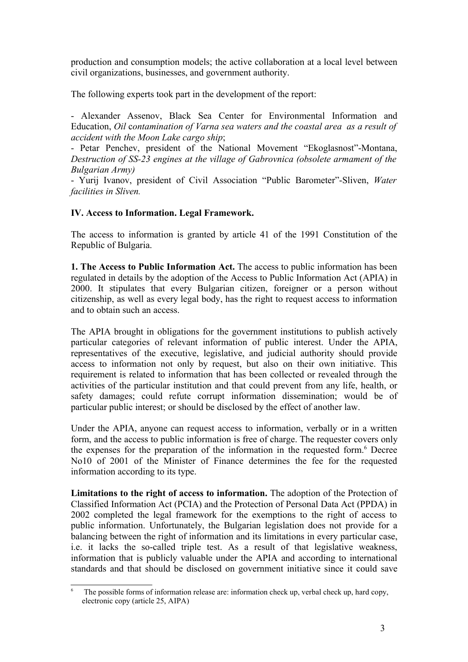production and consumption models; the active collaboration at a local level between civil organizations, businesses, and government authority.

The following experts took part in the development of the report:

- Alexander Assenov, Black Sea Center for Environmental Information and Education, *Oil* c*ontamination of Varna sea waters and the coastal area as a result of accident with the Moon Lake cargo ship*;

- Petar Penchev, president of the National Movement "Ekoglasnost"-Montana, *Destruction of SS-23 engines at the village of Gabrovnica (obsolete armament of the Bulgarian Army)*

- Yurij Ivanov, president of Civil Association "Public Barometer"-Sliven, *Water facilities in Sliven.*

### **ІV. Access to Information. Legal Framework.**

The access to information is granted by article 41 of the 1991 Constitution of the Republic of Bulgaria.

**1. The Access to Public Information Act.** The access to public information has been regulated in details by the adoption of the Access to Public Information Act (APIA) in 2000. It stipulates that every Bulgarian citizen, foreigner or a person without citizenship, as well as every legal body, has the right to request access to information and to obtain such an access.

The APIA brought in obligations for the government institutions to publish actively particular categories of relevant information of public interest. Under the APIA, representatives of the executive, legislative, and judicial authority should provide access to information not only by request, but also on their own initiative. This requirement is related to information that has been collected or revealed through the activities of the particular institution and that could prevent from any life, health, or safety damages; could refute corrupt information dissemination; would be of particular public interest; or should be disclosed by the effect of another law.

Under the APIA, anyone can request access to information, verbally or in a written form, and the access to public information is free of charge. The requester covers only the expenses for the preparation of the information in the requested form.<sup>6</sup> Decree No10 of 2001 of the Minister of Finance determines the fee for the requested information according to its type.

**Limitations to the right of access to information.** The adoption of the Protection of Classified Information Act (PCIA) and the Protection of Personal Data Act (PPDA) in 2002 completed the legal framework for the exemptions to the right of access to public information. Unfortunately, the Bulgarian legislation does not provide for a balancing between the right of information and its limitations in every particular case, i.e. it lacks the so-called triple test. As a result of that legislative weakness, information that is publicly valuable under the APIA and according to international standards and that should be disclosed on government initiative since it could save

 $\overline{6}$  The possible forms of information release are: information check up, verbal check up, hard copy, electronic copy (article 25, AIPA)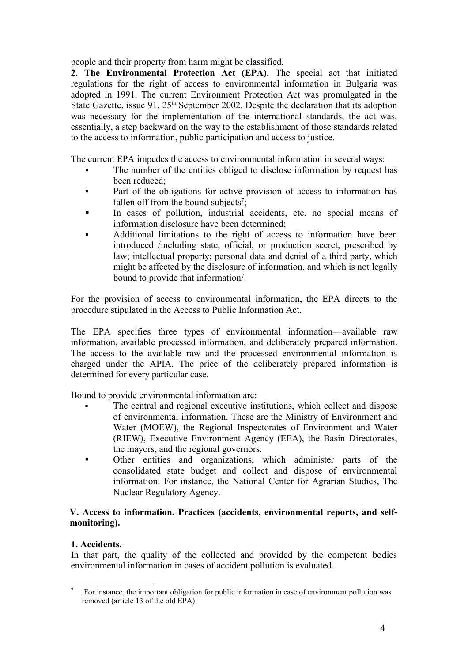people and their property from harm might be classified.

**2. The Environmental Protection Act (EPA).** The special act that initiated regulations for the right of access to environmental information in Bulgaria was adopted in 1991. The current Environment Protection Act was promulgated in the State Gazette, issue 91,  $25<sup>th</sup>$  September 2002. Despite the declaration that its adoption was necessary for the implementation of the international standards, the act was, essentially, a step backward on the way to the establishment of those standards related to the access to information, public participation and access to justice.

The current EPA impedes the access to environmental information in several ways:

- The number of the entities obliged to disclose information by request has been reduced;
- Part of the obligations for active provision of access to information has fallen off from the bound subjects<sup>7</sup>;
- In cases of pollution, industrial accidents, etc. no special means of information disclosure have been determined;
- Additional limitations to the right of access to information have been introduced /including state, official, or production secret, prescribed by law; intellectual property; personal data and denial of a third party, which might be affected by the disclosure of information, and which is not legally bound to provide that information/.

For the provision of access to environmental information, the EPA directs to the procedure stipulated in the Access to Public Information Act.

The EPA specifies three types of environmental information—available raw information, available processed information, and deliberately prepared information. The access to the available raw and the processed environmental information is charged under the APIA. The price of the deliberately prepared information is determined for every particular case.

Bound to provide environmental information are:

- § The central and regional executive institutions, which collect and dispose of environmental information. These are the Ministry of Environment and Water (MOEW), the Regional Inspectorates of Environment and Water (RIEW), Executive Environment Agency (EEA), the Basin Directorates, the mayors, and the regional governors.
- § Other entities and organizations, which administer parts of the consolidated state budget and collect and dispose of environmental information. For instance, the National Center for Agrarian Studies, The Nuclear Regulatory Agency.

#### **V. Access to information. Practices (accidents, environmental reports, and selfmonitoring).**

### **1. Accidents.**

In that part, the quality of the collected and provided by the competent bodies environmental information in cases of accident pollution is evaluated.

 $\overline{7}$  For instance, the important obligation for public information in case of environment pollution was removed (article 13 of the old EPA)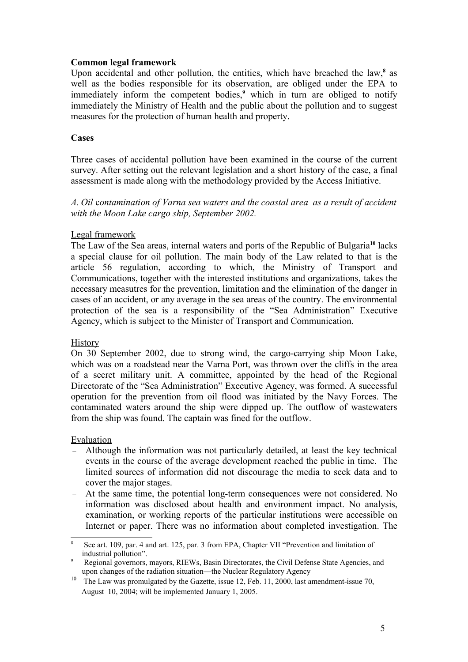#### **Common legal framework**

Upon accidental and other pollution, the entities, which have breached the law, **8** as well as the bodies responsible for its observation, are obliged under the EPA to immediately inform the competent bodies, **<sup>9</sup>** which in turn are obliged to notify immediately the Ministry of Health and the public about the pollution and to suggest measures for the protection of human health and property.

#### **Cases**

Three cases of accidental pollution have been examined in the course of the current survey. After setting out the relevant legislation and a short history of the case, a final assessment is made along with the methodology provided by the Access Initiative.

*А. Oil* c*ontamination of Varna sea waters and the coastal area as a result of accident with the Moon Lake cargo ship, September 2002.*

#### Legal framework

The Law of the Sea areas, internal waters and ports of the Republic of Bulgaria<sup>10</sup> lacks a special clause for oil pollution. The main body of the Law related to that is the article 56 regulation, according to which, the Ministry of Transport and Communications, together with the interested institutions and organizations, takes the necessary measutres for the prevention, limitation and the elimination of the danger in cases of an accident, or any average in the sea areas of the country. The environmental protection of the sea is a responsibility of the "Sea Administration" Executive Agency, which is subject to the Minister of Transport and Communication.

#### **History**

On 30 September 2002, due to strong wind, the cargo-carrying ship Moon Lake, which was on a roadstead near the Varna Port, was thrown over the cliffs in the area of a secret military unit. A committee, appointed by the head of the Regional Directorate of the "Sea Administration" Executive Agency, was formed. A successful operation for the prevention from oil flood was initiated by the Navy Forces. The contaminated waters around the ship were dipped up. The outflow of wastewaters from the ship was found. The captain was fined for the outflow.

#### Evaluation

- Although the information was not particularly detailed, at least the key technical events in the course of the average development reached the public in time. The limited sources of information did not discourage the media to seek data and to cover the major stages.
- At the same time, the potential long-term consequences were not considered. No information was disclosed about health and environment impact. No analysis, examination, or working reports of the particular institutions were accessible on Internet or paper. There was no information about completed investigation. The

<sup>8</sup> See art. 109, par. 4 and art. 125, par. 3 from EPA, Chapter VІІ "Prevention and limitation of industrial pollution".

<sup>9</sup> Regional governors, mayors, RIEWs, Basin Directorates, the Civil Defense State Agencies, and upon changes of the radiation situation—the Nuclear Regulatory Agency

<sup>&</sup>lt;sup>10</sup> The Law was promulgated by the Gazette, issue 12, Feb. 11, 2000, last amendment-issue 70, August 10, 2004; will be implemented January 1, 2005.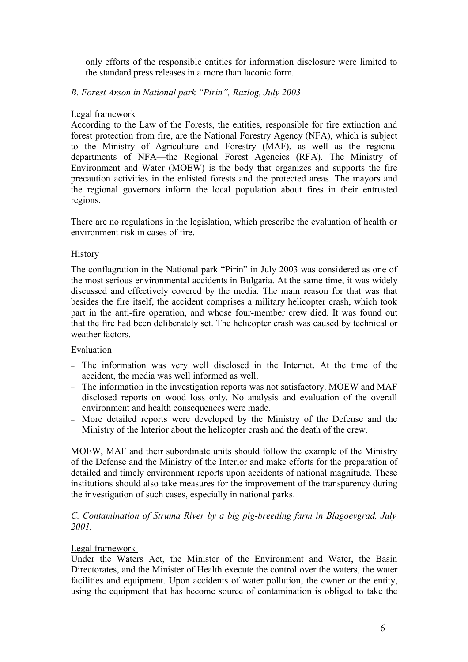only efforts of the responsible entities for information disclosure were limited to the standard press releases in a more than laconic form.

# *B. Forest Arson in National park "Pirin", Razlog, July 2003*

### Legal framework

According to the Law of the Forests, the entities, responsible for fire extinction and forest protection from fire, are the National Forestry Agency (NFA), which is subject to the Ministry of Agriculture and Forestry (MAF), as well as the regional departments of NFA—the Regional Forest Agencies (RFA). The Ministry of Environment and Water (MOEW) is the body that organizes and supports the fire precaution activities in the enlisted forests and the protected areas. The mayors and the regional governors inform the local population about fires in their entrusted regions.

There are no regulations in the legislation, which prescribe the evaluation of health or environment risk in cases of fire.

#### **History**

The conflagration in the National park "Pirin" in July 2003 was considered as one of the most serious environmental accidents in Bulgaria. At the same time, it was widely discussed and effectively covered by the media. The main reason for that was that besides the fire itself, the accident comprises a military helicopter crash, which took part in the anti-fire operation, and whose four-member crew died. It was found out that the fire had been deliberately set. The helicopter crash was caused by technical or weather factors.

### Evaluation

- The information was very well disclosed in the Internet. At the time of the accident, the media was well informed as well.
- The information in the investigation reports was not satisfactory. MOEW and MAF disclosed reports on wood loss only. No analysis and evaluation of the overall environment and health consequences were made.
- More detailed reports were developed by the Ministry of the Defense and the Ministry of the Interior about the helicopter crash and the death of the crew.

MOEW, MAF and their subordinate units should follow the example of the Ministry of the Defense and the Ministry of the Interior and make efforts for the preparation of detailed and timely environment reports upon accidents of national magnitude. These institutions should also take measures for the improvement of the transparency during the investigation of such cases, especially in national parks.

#### *C. Contamination of Struma River by a big pig-breeding farm in Blagoevgrad, July 2001.*

### Legal framework

Under the Waters Act, the Minister of the Environment and Water, the Basin Directorates, and the Minister of Health execute the control over the waters, the water facilities and equipment. Upon accidents of water pollution, the owner or the entity, using the equipment that has become source of contamination is obliged to take the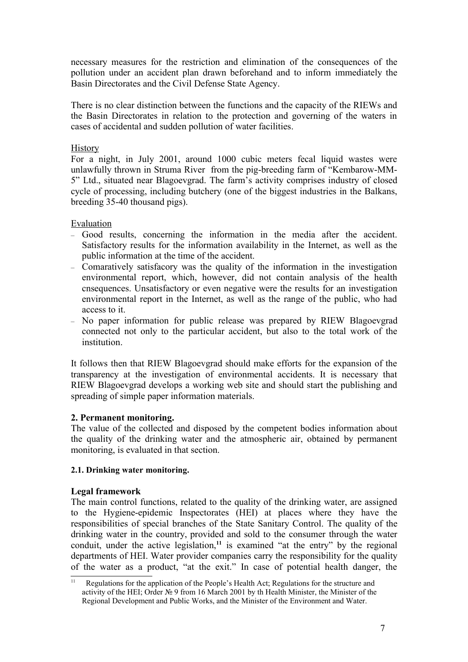necessary measures for the restriction and elimination of the consequences of the pollution under an accident plan drawn beforehand and to inform immediately the Basin Directorates and the Civil Defense State Agency.

There is no clear distinction between the functions and the capacity of the RIEWs and the Basin Directorates in relation to the protection and governing of the waters in cases of accidental and sudden pollution of water facilities.

### **History**

For a night, in July 2001, around 1000 cubic meters fecal liquid wastes were unlawfully thrown in Struma River from the pig-breeding farm of "Kembarow-MM-5" Ltd., situated near Blagoevgrad. The farm's activity comprises industry of closed cycle of processing, including butchery (one of the biggest industries in the Balkans, breeding 35-40 thousand pigs).

#### Evaluation

- Good results, concerning the information in the media after the accident. Satisfactory results for the information availability in the Internet, as well as the public information at the time of the accident.
- Comaratively satisfacory was the quality of the information in the investigation environmental report, which, however, did not contain analysis of the health cnsequences. Unsatisfactory or even negative were the results for an investigation environmental report in the Internet, as well as the range of the public, who had access to it.
- No paper information for public release was prepared by RIEW Blagoevgrad connected not only to the particular accident, but also to the total work of the **institution**

It follows then that RIEW Blagoevgrad should make efforts for the expansion of the transparency at the investigation of environmental accidents. It is necessary that RIEW Blagoevgrad develops a working web site and should start the publishing and spreading of simple paper information materials.

### **2. Permanent monitoring.**

The value of the collected and disposed by the competent bodies information about the quality of the drinking water and the atmospheric air, obtained by permanent monitoring, is evaluated in that section.

#### **2.1. Drinking water monitoring.**

### **Legal framework**

The main control functions, related to the quality of the drinking water, are assigned to the Hygiene-epidemic Inspectorates (HEI) at places where they have the responsibilities of special branches of the State Sanitary Control. The quality of the drinking water in the country, provided and sold to the consumer through the water conduit, under the active legislation,**<sup>11</sup>** is examined "at the entry" by the regional departments of HEI. Water provider companies carry the responsibility for the quality of the water as a product, "at the exit." In case of potential health danger, the

 $\overline{11}$  Regulations for the application of the People's Health Act; Regulations for the structure and activity of the HEI; Order № 9 from 16 March 2001 by th Health Minister, the Minister of the Regional Development and Public Works, and the Minister of the Environment and Water.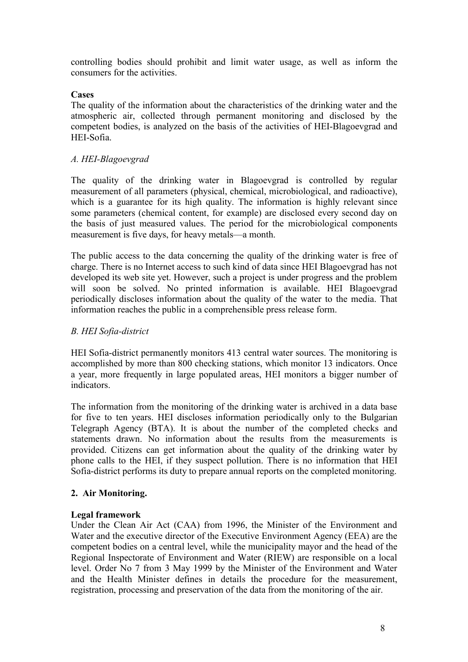controlling bodies should prohibit and limit water usage, as well as inform the consumers for the activities.

#### **Cases**

The quality of the information about the characteristics of the drinking water and the atmospheric air, collected through permanent monitoring and disclosed by the competent bodies, is analyzed on the basis of the activities of HEI-Blagoevgrad and HEI-Sofia.

#### *А. HEI-Blagoevgrad*

The quality of the drinking water in Blagoevgrad is controlled by regular measurement of all parameters (physical, chemical, microbiological, and radioactive), which is a guarantee for its high quality. The information is highly relevant since some parameters (chemical content, for example) are disclosed every second day on the basis of just measured values. The period for the microbiological components measurement is five days, for heavy metals—a month.

The public access to the data concerning the quality of the drinking water is free of charge. There is no Internet access to such kind of data since HEI Blagoevgrad has not developed its web site yet. However, such a project is under progress and the problem will soon be solved. No printed information is available. HEI Blagoevgrad periodically discloses information about the quality of the water to the media. That information reaches the public in a comprehensible press release form.

#### *B. HEI Sofia-district*

HEI Sofia-district permanently monitors 413 central water sources. The monitoring is accomplished by more than 800 checking stations, which monitor 13 indicators. Once a year, more frequently in large populated areas, HEI monitors a bigger number of indicators.

The information from the monitoring of the drinking water is archived in a data base for five to ten years. HEI discloses information periodically only to the Bulgarian Telegraph Agency (BTA). It is about the number of the completed checks and statements drawn. No information about the results from the measurements is provided. Citizens can get information about the quality of the drinking water by phone calls to the HEI, if they suspect pollution. There is no information that HEI Sofia-district performs its duty to prepare annual reports on the completed monitoring.

### **2. Air Monitoring.**

#### **Legal framework**

Under the Clean Air Act (CAA) from 1996, the Minister of the Environment and Water and the executive director of the Executive Environment Agency (EEA) are the competent bodies on a central level, while the municipality mayor and the head of the Regional Inspectorate of Environment and Water (RIEW) are responsible on a local level. Order No 7 from 3 May 1999 by the Minister of the Environment and Water and the Health Minister defines in details the procedure for the measurement, registration, processing and preservation of the data from the monitoring of the air.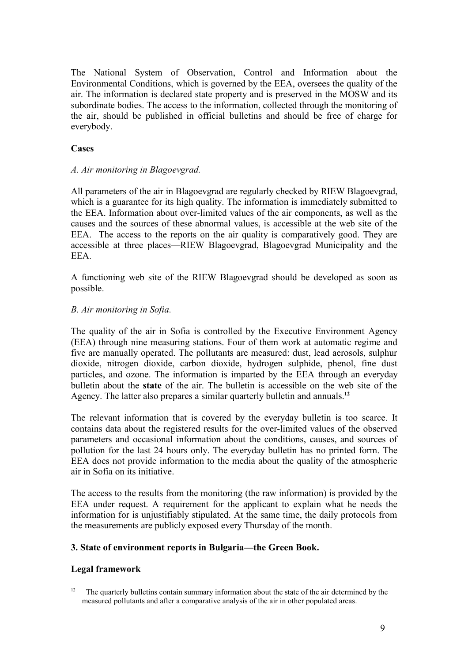The National System of Observation, Control and Information about the Environmental Conditions, which is governed by the EEA, oversees the quality of the air. The information is declared state property and is preserved in the MOSW and its subordinate bodies. The access to the information, collected through the monitoring of the air, should be published in official bulletins and should be free of charge for everybody.

#### **Cases**

#### *А. Air monitoring in Blagoevgrad.*

All parameters of the air in Blagoevgrad are regularly checked by RIEW Blagoevgrad, which is a guarantee for its high quality. The information is immediately submitted to the EEA. Information about over-limited values of the air components, as well as the causes and the sources of these abnormal values, is accessible at the web site of the EEA. The access to the reports on the air quality is comparatively good. They are accessible at three places—RIEW Blagoevgrad, Blagoevgrad Municipality and the EEA.

A functioning web site of the RIEW Blagoevgrad should be developed as soon as possible.

#### *B. Air monitoring in Sofia.*

The quality of the air in Sofia is controlled by the Executive Environment Agency (EEA) through nine measuring stations. Four of them work at automatic regime and five are manually operated. The pollutants are measured: dust, lead aerosols, sulphur dioxide, nitrogen dioxide, carbon dioxide, hydrogen sulphide, phenol, fine dust particles, and ozone. The information is imparted by the EEA through an everyday bulletin about the **state** of the air. The bulletin is accessible on the web site of the Agency. The latter also prepares a similar quarterly bulletin and annuals. **12**

The relevant information that is covered by the everyday bulletin is too scarce. It contains data about the registered results for the over-limited values of the observed parameters and occasional information about the conditions, causes, and sources of pollution for the last 24 hours only. The everyday bulletin has no printed form. The EEA does not provide information to the media about the quality of the atmospheric air in Sofia on its initiative.

The access to the results from the monitoring (the raw information) is provided by the EEA under request. A requirement for the applicant to explain what he needs the information for is unjustifiably stipulated. At the same time, the daily protocols from the measurements are publicly exposed every Thursday of the month.

### **3. State of environment reports in Bulgaria—the Green Book.**

### **Legal framework**

 $\overline{12}$  The quarterly bulletins contain summary information about the state of the air determined by the measured pollutants and after a comparative analysis of the air in other populated areas.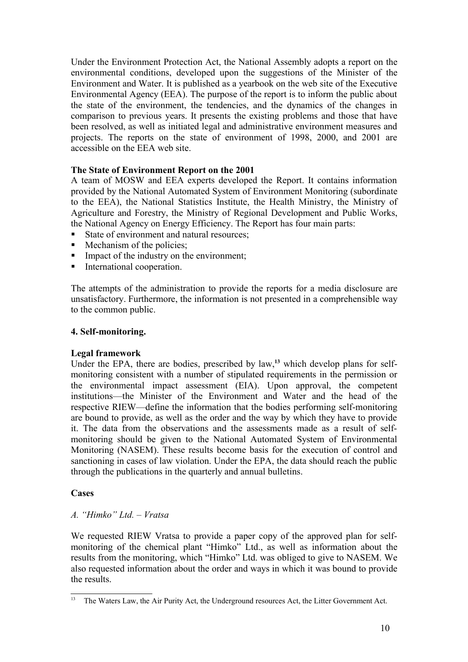Under the Environment Protection Act, the National Assembly adopts a report on the environmental conditions, developed upon the suggestions of the Minister of the Environment and Water. It is published as a yearbook on the web site of the Executive Environmental Agency (EEA). The purpose of the report is to inform the public about the state of the environment, the tendencies, and the dynamics of the changes in comparison to previous years. It presents the existing problems and those that have been resolved, as well as initiated legal and administrative environment measures and projects. The reports on the state of environment of 1998, 2000, and 2001 are accessible on the EEA web site.

# **The State of Environment Report on the 2001**

A team of MOSW and EEA experts developed the Report. It contains information provided by the National Automated System of Environment Monitoring (subordinate to the EEA), the National Statistics Institute, the Health Ministry, the Ministry of Agriculture and Forestry, the Ministry of Regional Development and Public Works, the National Agency on Energy Efficiency. The Report has four main parts:

- State of environment and natural resources;
- Mechanism of the policies;
- Impact of the industry on the environment;
- International cooperation.

The attempts of the administration to provide the reports for a media disclosure are unsatisfactory. Furthermore, the information is not presented in a comprehensible way to the common public.

#### **4. Self-monitoring.**

#### **Legal framework**

Under the EPA, there are bodies, prescribed by law,**<sup>13</sup>** which develop plans for selfmonitoring consistent with a number of stipulated requirements in the permission or the environmental impact assessment (EIA). Upon approval, the competent institutions—the Minister of the Environment and Water and the head of the respective RIEW—define the information that the bodies performing self-monitoring are bound to provide, as well as the order and the way by which they have to provide it. The data from the observations and the assessments made as a result of selfmonitoring should be given to the National Automated System of Environmental Monitoring (NASEM). These results become basis for the execution of control and sanctioning in cases of law violation. Under the EPA, the data should reach the public through the publications in the quarterly and annual bulletins.

#### **Cases**

### *А. "Himko" Ltd. – Vratsa*

We requested RIEW Vratsa to provide a paper copy of the approved plan for selfmonitoring of the chemical plant "Himko" Ltd., as well as information about the results from the monitoring, which "Himko" Ltd. was obliged to give to NASEM. We also requested information about the order and ways in which it was bound to provide the results.

<sup>&</sup>lt;sup>13</sup> The Waters Law, the Air Purity Act, the Underground resources Act, the Litter Government Act.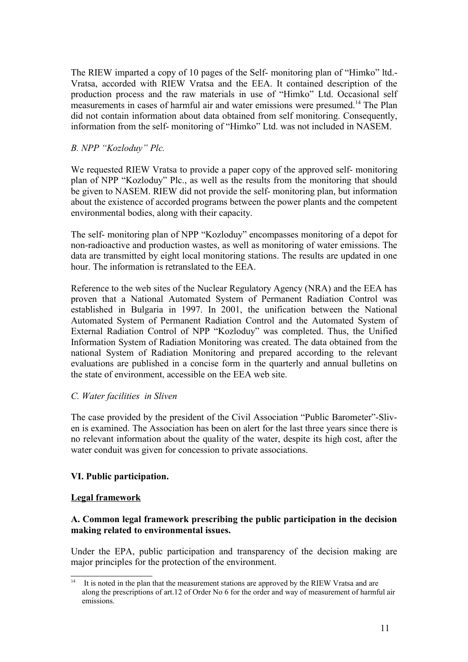The RIEW imparted a copy of 10 pages of the Self- monitoring plan of "Himko" ltd.- Vratsa, accorded with RIEW Vratsa and the EEA. It contained description of the production process and the raw materials in use of "Himko" Ltd. Occasional self measurements in cases of harmful air and water emissions were presumed.<sup>14</sup> The Plan did not contain information about data obtained from self monitoring. Consequently, information from the self- monitoring of "Himko" Ltd. was not included in NASEM.

# *B. NPP "Kozloduy" Plc.*

We requested RIEW Vratsa to provide a paper copy of the approved self- monitoring plan of NPP "Kozloduy" Plc., as well as the results from the monitoring that should be given to NASEM. RIEW did not provide the self- monitoring plan, but information about the existence of accorded programs between the power plants and the competent environmental bodies, along with their capacity.

The self- monitoring plan of NPP "Kozloduy" encompasses monitoring of a depot for non-radioactive and production wastes, as well as monitoring of water emissions. The data are transmitted by eight local monitoring stations. The results are updated in one hour. The information is retranslated to the EEA.

Reference to the web sites of the Nuclear Regulatory Agency (NRA) and the EEA has proven that a National Automated System of Permanent Radiation Control was established in Bulgaria in 1997. In 2001, the unification between the National Automated System of Permanent Radiation Control and the Automated System of External Radiation Control of NPP "Kozloduy" was completed. Thus, the Unified Information System of Radiation Monitoring was created. The data obtained from the national System of Radiation Monitoring and prepared according to the relevant evaluations are published in a concise form in the quarterly and annual bulletins on the state of environment, accessible on the EEA web site.

### *C. Water facilities in Sliven*

The case provided by the president of the Civil Association "Public Barometer"-Sliven is examined. The Association has been on alert for the last three years since there is no relevant information about the quality of the water, despite its high cost, after the water conduit was given for concession to private associations.

# **VІ. Public participation.**

### **Legal framework**

# **А. Common legal framework prescribing the public participation in the decision making related to environmental issues.**

Under the EPA, public participation and transparency of the decision making are major principles for the protection of the environment.

 $\frac{14}{14}$  It is noted in the plan that the measurement stations are approved by the RIEW Vratsa and are along the prescriptions of art.12 of Order No 6 for the order and way of measurement of harmful air emissions.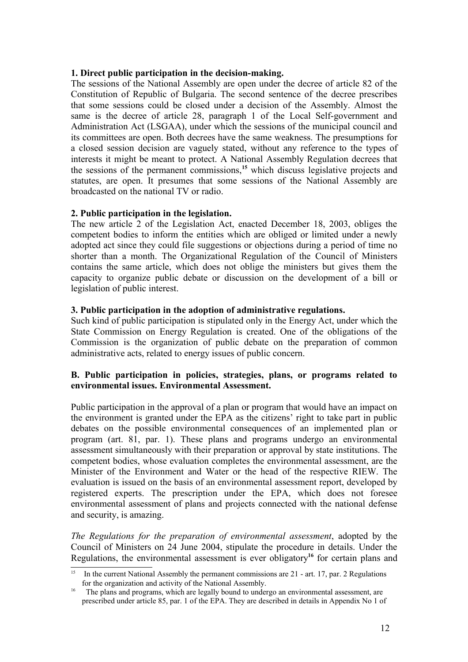#### **1. Direct public participation in the decision-making.**

The sessions of the National Assembly are open under the decree of article 82 of the Constitution of Republic of Bulgaria. The second sentence of the decree prescribes that some sessions could be closed under a decision of the Assembly. Almost the same is the decree of article 28, paragraph 1 of the Local Self-government and Administration Act (LSGAA), under which the sessions of the municipal council and its committees are open. Both decrees have the same weakness. The presumptions for a closed session decision are vaguely stated, without any reference to the types of interests it might be meant to protect. A National Assembly Regulation decrees that the sessions of the permanent commissions,**<sup>15</sup>** which discuss legislative projects and statutes, are open. It presumes that some sessions of the National Assembly are broadcasted on the national TV or radio.

#### **2. Public participation in the legislation.**

The new article 2 of the Legislation Act, enacted December 18, 2003, obliges the competent bodies to inform the entities which are obliged or limited under a newly adopted act since they could file suggestions or objections during a period of time no shorter than a month. The Organizational Regulation of the Council of Ministers contains the same article, which does not oblige the ministers but gives them the capacity to organize public debate or discussion on the development of a bill or legislation of public interest.

#### **3. Public participation in the adoption of administrative regulations.**

Such kind of public participation is stipulated only in the Energy Act, under which the State Commission on Energy Regulation is created. One of the obligations of the Commission is the organization of public debate on the preparation of common administrative acts, related to energy issues of public concern.

#### **B. Public participation in policies, strategies, plans, or programs related to environmental issues. Environmental Assessment.**

Public participation in the approval of a plan or program that would have an impact on the environment is granted under the EPA as the citizens' right to take part in public debates on the possible environmental consequences of an implemented plan or program (art. 81, par. 1). These plans and programs undergo an environmental assessment simultaneously with their preparation or approval by state institutions. The competent bodies, whose evaluation completes the environmental assessment, are the Minister of the Environment and Water or the head of the respective RIEW. The evaluation is issued on the basis of an environmental assessment report, developed by registered experts. The prescription under the EPA, which does not foresee environmental assessment of plans and projects connected with the national defense and security, is amazing.

*The Regulations for the preparation of environmental assessment*, adopted by the Council of Ministers on 24 June 2004, stipulate the procedure in details. Under the Regulations, the environmental assessment is ever obligatory<sup>16</sup> for certain plans and

<sup>15</sup> In the current National Assembly the permanent commissions are 21 - art. 17, par. 2 Regulations for the organization and activity of the National Assembly.

<sup>16</sup> The plans and programs, which are legally bound to undergo an environmental assessment, are prescribed under article 85, par. 1 of the EPA. They are described in details in Appendix No 1 of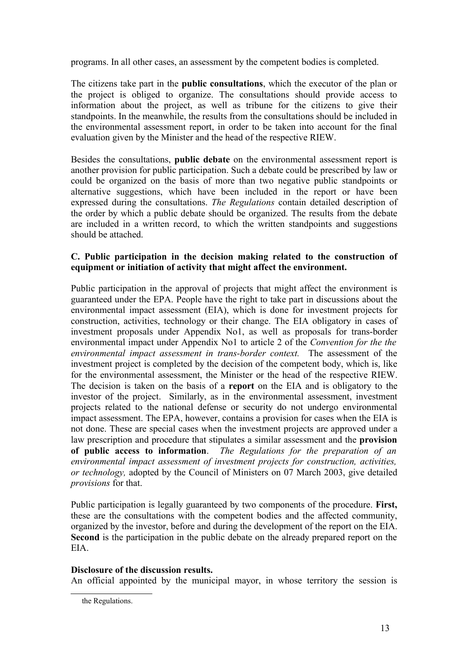programs. In all other cases, an assessment by the competent bodies is completed.

The citizens take part in the **public consultations**, which the executor of the plan or the project is obliged to organize. The consultations should provide access to information about the project, as well as tribune for the citizens to give their standpoints. In the meanwhile, the results from the consultations should be included in the environmental assessment report, in order to be taken into account for the final evaluation given by the Minister and the head of the respective RIEW.

Besides the consultations, **public debate** on the environmental assessment report is another provision for public participation. Such a debate could be prescribed by law or could be organized on the basis of more than two negative public standpoints or alternative suggestions, which have been included in the report or have been expressed during the consultations. *The Regulations* contain detailed description of the order by which a public debate should be organized. The results from the debate are included in a written record, to which the written standpoints and suggestions should be attached.

# **C. Public participation in the decision making related to the construction of equipment or initiation of activity that might affect the environment.**

Public participation in the approval of projects that might affect the environment is guaranteed under the EPA. People have the right to take part in discussions about the environmental impact assessment (EIA), which is done for investment projects for construction, activities, technology or their change. The EIA obligatory in cases of investment proposals under Appendix No1, as well as proposals for trans-border environmental impact under Appendix No1 to article 2 of the *Convention for the the environmental impact assessment in trans-border context.* The assessment of the investment project is completed by the decision of the competent body, which is, like for the environmental assessment, the Minister or the head of the respective RIEW. The decision is taken on the basis of a **report** on the EIA and is obligatory to the investor of the project. Similarly, as in the environmental assessment, investment projects related to the national defense or security do not undergo environmental impact assessment. The EPA, however, contains a provision for cases when the EIA is not done. These are special cases when the investment projects are approved under a law prescription and procedure that stipulates a similar assessment and the **provision of public access to information**. *The Regulations for the preparation of an environmental impact assessment of investment projects for construction, activities, or technology,* adopted by the Council of Ministers on 07 March 2003, give detailed *provisions* for that.

Public participation is legally guaranteed by two components of the procedure. **First,** these are the consultations with the competent bodies and the affected community, organized by the investor, before and during the development of the report on the EIA. **Second** is the participation in the public debate on the already prepared report on the EIA.

### **Disclosure of the discussion results.**

An official appointed by the municipal mayor, in whose territory the session is

the Regulations.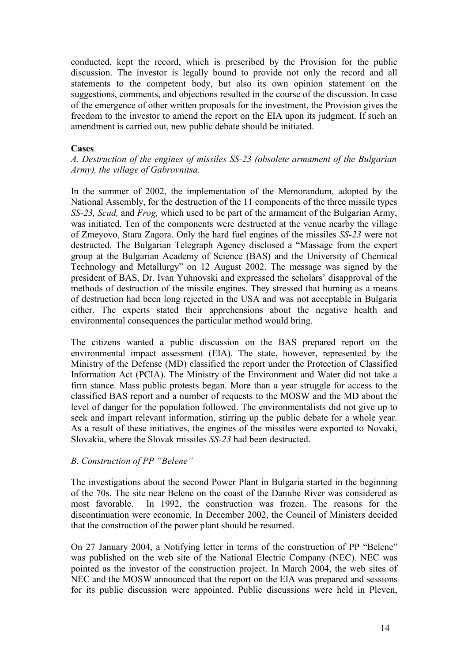conducted, kept the record, which is prescribed by the Provision for the public discussion. The investor is legally bound to provide not only the record and all statements to the competent body, but also its own opinion statement on the suggestions, comments, and objections resulted in the course of the discussion. In case of the emergence of other written proposals for the investment, the Provision gives the freedom to the investor to amend the report on the EIA upon its judgment. If such an amendment is carried out, new public debate should be initiated.

#### **Cases**

*А. Destruction of the engines of missiles SS-23 (obsolete armament of the Bulgarian Army), the village of Gabrovnitsa.*

In the summer of 2002, the implementation of the Memorandum, adopted by the National Assembly, for the destruction of the 11 components of the three missile types *SS-23, Scud,* and *Frog,* which used to be part of the armament of the Bulgarian Army, was initiated. Ten of the components were destructed at the venue nearby the village of Zmeyovo, Stara Zagora. Only the hard fuel engines of the missiles *SS-23* were not destructed. The Bulgarian Telegraph Agency disclosed a "Massage from the expert group at the Bulgarian Academy of Science (BAS) and the University of Chemical Technology and Metallurgy" on 12 August 2002. The message was signed by the president of BAS, Dr. Ivan Yuhnovski and expressed the scholars' disapproval of the methods of destruction of the missile engines. They stressed that burning as a means of destruction had been long rejected in the USA and was not acceptable in Bulgaria either. The experts stated their apprehensions about the negative health and environmental consequences the particular method would bring.

The citizens wanted a public discussion on the BAS prepared report on the environmental impact assessment (EIA). The state, however, represented by the Ministry of the Defense (MD) classified the report under the Protection of Classified Information Act (PCIA). The Ministry of the Environment and Water did not take a firm stance. Mass public protests began. More than a year struggle for access to the classified BAS report and a number of requests to the MOSW and the MD about the level of danger for the population followed. The environmentalists did not give up to seek and impart relevant information, stirring up the public debate for a whole year. As a result of these initiatives, the engines of the missiles were exported to Novaki, Slovakia, where the Slovak missiles *SS-23* had been destructed.

#### *B. Construction of PP "Belene"*

The investigations about the second Power Plant in Bulgaria started in the beginning of the 70s. The site near Belene on the coast of the Danube River was considered as most favorable. In 1992, the construction was frozen. The reasons for the discontinuation were economic. In December 2002, the Council of Ministers decided that the construction of the power plant should be resumed.

On 27 January 2004, a Notifying letter in terms of the construction of PP "Belene" was published on the web site of the National Electric Company (NEC). NEC was pointed as the investor of the construction project. In March 2004, the web sites of NEC and the MOSW announced that the report on the EIA was prepared and sessions for its public discussion were appointed. Public discussions were held in Pleven,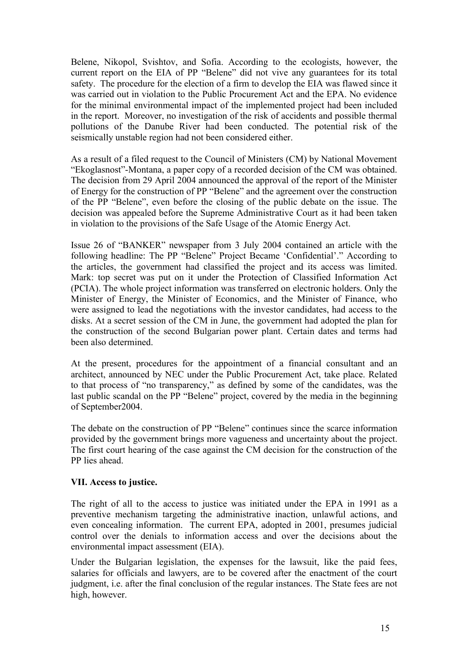Belene, Nikopol, Svishtov, and Sofia. According to the ecologists, however, the current report on the EIA of PP "Belene" did not vive any guarantees for its total safety. The procedure for the election of a firm to develop the EIA was flawed since it was carried out in violation to the Public Procurement Act and the EPA. No evidence for the minimal environmental impact of the implemented project had been included in the report. Moreover, no investigation of the risk of accidents and possible thermal pollutions of the Danube River had been conducted. The potential risk of the seismically unstable region had not been considered either.

As a result of a filed request to the Council of Ministers (CM) by National Movement "Ekoglasnost"-Montana, a paper copy of a recorded decision of the CM was obtained. The decision from 29 April 2004 announced the approval of the report of the Minister of Energy for the construction of PP "Belene" and the agreement over the construction of the PP "Belene", even before the closing of the public debate on the issue. The decision was appealed before the Supreme Administrative Court as it had been taken in violation to the provisions of the Safe Usage of the Atomic Energy Act.

Issue 26 of "BANKER" newspaper from 3 July 2004 contained an article with the following headline: The PP "Belene" Project Became 'Confidential'." According to the articles, the government had classified the project and its access was limited. Mark: top secret was put on it under the Protection of Classified Information Act (PCIA). The whole project information was transferred on electronic holders. Only the Minister of Energy, the Minister of Economics, and the Minister of Finance, who were assigned to lead the negotiations with the investor candidates, had access to the disks. At a secret session of the CM in June, the government had adopted the plan for the construction of the second Bulgarian power plant. Certain dates and terms had been also determined.

At the present, procedures for the appointment of a financial consultant and an architect, announced by NEC under the Public Procurement Act, take place. Related to that process of "no transparency," as defined by some of the candidates, was the last public scandal on the PP "Belene" project, covered by the media in the beginning of September2004.

The debate on the construction of PP "Belene" continues since the scarce information provided by the government brings more vagueness and uncertainty about the project. The first court hearing of the case against the CM decision for the construction of the PP lies ahead.

# **VІІ. Access to justice.**

The right of all to the access to justice was initiated under the EPA in 1991 as a preventive mechanism targeting the administrative inaction, unlawful actions, and even concealing information. The current EPA, adopted in 2001, presumes judicial control over the denials to information access and over the decisions about the environmental impact assessment (EIA).

Under the Bulgarian legislation, the expenses for the lawsuit, like the paid fees, salaries for officials and lawyers, are to be covered after the enactment of the court judgment, i.e. after the final conclusion of the regular instances. The State fees are not high, however.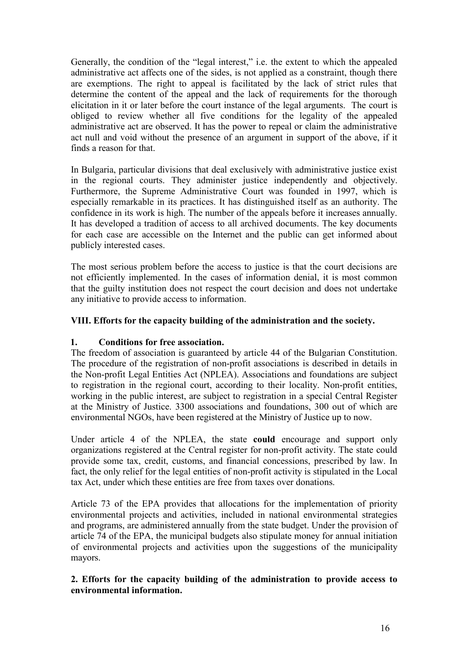Generally, the condition of the "legal interest," i.e. the extent to which the appealed administrative act affects one of the sides, is not applied as a constraint, though there are exemptions. The right to appeal is facilitated by the lack of strict rules that determine the content of the appeal and the lack of requirements for the thorough elicitation in it or later before the court instance of the legal arguments. The court is obliged to review whether all five conditions for the legality of the appealed administrative act are observed. It has the power to repeal or claim the administrative act null and void without the presence of an argument in support of the above, if it finds a reason for that.

In Bulgaria, particular divisions that deal exclusively with administrative justice exist in the regional courts. They administer justice independently and objectively. Furthermore, the Supreme Administrative Court was founded in 1997, which is especially remarkable in its practices. It has distinguished itself as an authority. The confidence in its work is high. The number of the appeals before it increases annually. It has developed a tradition of access to all archived documents. The key documents for each case are accessible on the Internet and the public can get informed about publicly interested cases.

The most serious problem before the access to justice is that the court decisions are not efficiently implemented. In the cases of information denial, it is most common that the guilty institution does not respect the court decision and does not undertake any initiative to provide access to information.

# **VІІІ. Efforts for the capacity building of the administration and the society.**

### **1. Conditions for free association.**

The freedom of association is guaranteed by article 44 of the Bulgarian Constitution. The procedure of the registration of non-profit associations is described in details in the Non-profit Legal Entities Act (NPLEA). Associations and foundations are subject to registration in the regional court, according to their locality. Non-profit entities, working in the public interest, are subject to registration in a special Central Register at the Ministry of Justice. 3300 associations and foundations, 300 out of which are environmental NGOs, have been registered at the Ministry of Justice up to now.

Under article 4 of the NPLEA, the state **could** encourage and support only organizations registered at the Central register for non-profit activity. The state could provide some tax, credit, customs, and financial concessions, prescribed by law. In fact, the only relief for the legal entities of non-profit activity is stipulated in the Local tax Act, under which these entities are free from taxes over donations.

Article 73 of the EPA provides that allocations for the implementation of priority environmental projects and activities, included in national environmental strategies and programs, are administered annually from the state budget. Under the provision of article 74 of the EPA, the municipal budgets also stipulate money for annual initiation of environmental projects and activities upon the suggestions of the municipality mayors.

**2. Efforts for the capacity building of the administration to provide access to environmental information.**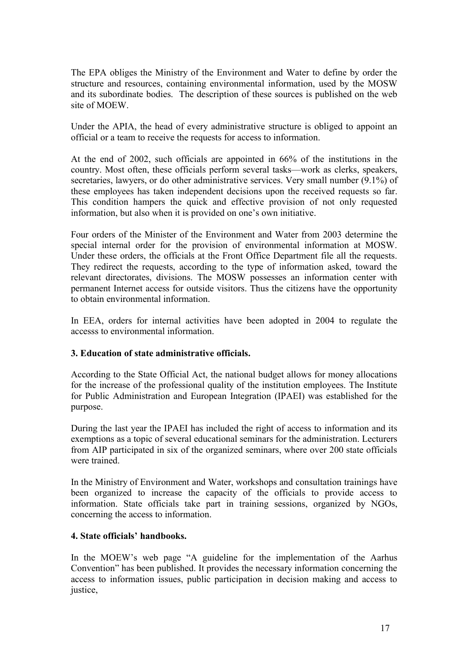The EPA obliges the Ministry of the Environment and Water to define by order the structure and resources, containing environmental information, used by the MOSW and its subordinate bodies. The description of these sources is published on the web site of MOEW.

Under the APIA, the head of every administrative structure is obliged to appoint an official or a team to receive the requests for access to information.

At the end of 2002, such officials are appointed in 66% of the institutions in the country. Most often, these officials perform several tasks—work as clerks, speakers, secretaries, lawyers, or do other administrative services. Very small number (9.1%) of these employees has taken independent decisions upon the received requests so far. This condition hampers the quick and effective provision of not only requested information, but also when it is provided on one's own initiative.

Four orders of the Minister of the Environment and Water from 2003 determine the special internal order for the provision of environmental information at MOSW. Under these orders, the officials at the Front Office Department file all the requests. They redirect the requests, according to the type of information asked, toward the relevant directorates, divisions. The MOSW possesses an information center with permanent Internet access for outside visitors. Thus the citizens have the opportunity to obtain environmental information.

In EEA, orders for internal activities have been adopted in 2004 to regulate the accesss to environmental information.

### **3. Education of state administrative officials.**

According to the State Official Act, the national budget allows for money allocations for the increase of the professional quality of the institution employees. The Institute for Public Administration and European Integration (IPAEI) was established for the purpose.

During the last year the IPAEI has included the right of access to information and its exemptions as a topic of several educational seminars for the administration. Lecturers from AIP participated in six of the organized seminars, where over 200 state officials were trained.

In the Ministry of Environment and Water, workshops and consultation trainings have been organized to increase the capacity of the officials to provide access to information. State officials take part in training sessions, organized by NGOs, concerning the access to information.

#### **4. State officials' handbooks.**

In the MOEW's web page "A guideline for the implementation of the Aarhus Convention" has been published. It provides the necessary information concerning the access to information issues, public participation in decision making and access to justice.